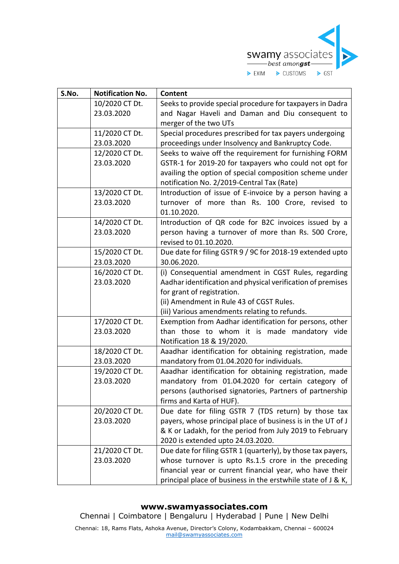

| S.No. | <b>Notification No.</b> | <b>Content</b>                                               |
|-------|-------------------------|--------------------------------------------------------------|
|       | 10/2020 CT Dt.          | Seeks to provide special procedure for taxpayers in Dadra    |
|       | 23.03.2020              | and Nagar Haveli and Daman and Diu consequent to             |
|       |                         | merger of the two UTs                                        |
|       | 11/2020 CT Dt.          | Special procedures prescribed for tax payers undergoing      |
|       | 23.03.2020              | proceedings under Insolvency and Bankruptcy Code.            |
|       | 12/2020 CT Dt.          | Seeks to waive off the requirement for furnishing FORM       |
|       | 23.03.2020              | GSTR-1 for 2019-20 for taxpayers who could not opt for       |
|       |                         | availing the option of special composition scheme under      |
|       |                         | notification No. 2/2019-Central Tax (Rate)                   |
|       | 13/2020 CT Dt.          | Introduction of issue of E-invoice by a person having a      |
|       | 23.03.2020              | turnover of more than Rs. 100 Crore, revised to              |
|       |                         | 01.10.2020.                                                  |
|       | 14/2020 CT Dt.          | Introduction of QR code for B2C invoices issued by a         |
|       | 23.03.2020              | person having a turnover of more than Rs. 500 Crore,         |
|       |                         | revised to 01.10.2020.                                       |
|       | 15/2020 CT Dt.          | Due date for filing GSTR 9 / 9C for 2018-19 extended upto    |
|       | 23.03.2020              | 30.06.2020.                                                  |
|       | 16/2020 CT Dt.          | (i) Consequential amendment in CGST Rules, regarding         |
|       | 23.03.2020              | Aadhar identification and physical verification of premises  |
|       |                         | for grant of registration.                                   |
|       |                         | (ii) Amendment in Rule 43 of CGST Rules.                     |
|       |                         | (iii) Various amendments relating to refunds.                |
|       | 17/2020 CT Dt.          | Exemption from Aadhar identification for persons, other      |
|       | 23.03.2020              | than those to whom it is made mandatory vide                 |
|       |                         | Notification 18 & 19/2020.                                   |
|       | 18/2020 CT Dt.          | Aaadhar identification for obtaining registration, made      |
|       | 23.03.2020              | mandatory from 01.04.2020 for individuals.                   |
|       | 19/2020 CT Dt.          | Aaadhar identification for obtaining registration, made      |
|       | 23.03.2020              | mandatory from 01.04.2020 for certain category of            |
|       |                         | persons (authorised signatories, Partners of partnership     |
|       |                         | firms and Karta of HUF).                                     |
|       | 20/2020 CT Dt.          | Due date for filing GSTR 7 (TDS return) by those tax         |
|       | 23.03.2020              | payers, whose principal place of business is in the UT of J  |
|       |                         | & K or Ladakh, for the period from July 2019 to February     |
|       |                         | 2020 is extended upto 24.03.2020.                            |
|       | 21/2020 CT Dt.          | Due date for filing GSTR 1 (quarterly), by those tax payers, |
|       | 23.03.2020              | whose turnover is upto Rs.1.5 crore in the preceding         |
|       |                         | financial year or current financial year, who have their     |
|       |                         | principal place of business in the erstwhile state of J & K, |

## **www.swamyassociates.com**

Chennai | Coimbatore | Bengaluru | Hyderabad | Pune | New Delhi

Chennai: 18, Rams Flats, Ashoka Avenue, Director's Colony, Kodambakkam, Chennai – 600024 [mail@swamyassociates.com](mailto:mail@swamyassociates.com)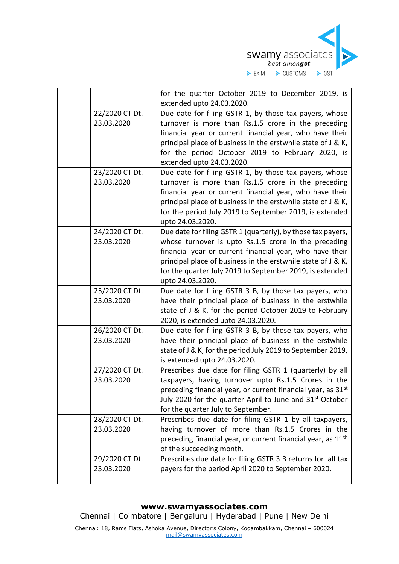

|                              | for the quarter October 2019 to December 2019, is                                                                                                                                                                                                                                                                                |
|------------------------------|----------------------------------------------------------------------------------------------------------------------------------------------------------------------------------------------------------------------------------------------------------------------------------------------------------------------------------|
|                              | extended upto 24.03.2020.                                                                                                                                                                                                                                                                                                        |
| 22/2020 CT Dt.<br>23.03.2020 | Due date for filing GSTR 1, by those tax payers, whose<br>turnover is more than Rs.1.5 crore in the preceding<br>financial year or current financial year, who have their                                                                                                                                                        |
|                              | principal place of business in the erstwhile state of J & K,<br>for the period October 2019 to February 2020, is<br>extended upto 24.03.2020.                                                                                                                                                                                    |
| 23/2020 CT Dt.<br>23.03.2020 | Due date for filing GSTR 1, by those tax payers, whose<br>turnover is more than Rs.1.5 crore in the preceding<br>financial year or current financial year, who have their<br>principal place of business in the erstwhile state of J & K,<br>for the period July 2019 to September 2019, is extended<br>upto 24.03.2020.         |
| 24/2020 CT Dt.<br>23.03.2020 | Due date for filing GSTR 1 (quarterly), by those tax payers,<br>whose turnover is upto Rs.1.5 crore in the preceding<br>financial year or current financial year, who have their<br>principal place of business in the erstwhile state of J & K,<br>for the quarter July 2019 to September 2019, is extended<br>upto 24.03.2020. |
| 25/2020 CT Dt.<br>23.03.2020 | Due date for filing GSTR 3 B, by those tax payers, who<br>have their principal place of business in the erstwhile<br>state of J & K, for the period October 2019 to February<br>2020, is extended upto 24.03.2020.                                                                                                               |
| 26/2020 CT Dt.<br>23.03.2020 | Due date for filing GSTR 3 B, by those tax payers, who<br>have their principal place of business in the erstwhile<br>state of J & K, for the period July 2019 to September 2019,<br>is extended upto 24.03.2020.                                                                                                                 |
| 27/2020 CT Dt.<br>23.03.2020 | Prescribes due date for filing GSTR 1 (quarterly) by all<br>taxpayers, having turnover upto Rs.1.5 Crores in the<br>preceding financial year, or current financial year, as 31 <sup>st</sup><br>July 2020 for the quarter April to June and $31st$ October<br>for the quarter July to September.                                 |
| 28/2020 CT Dt.<br>23.03.2020 | Prescribes due date for filing GSTR 1 by all taxpayers,<br>having turnover of more than Rs.1.5 Crores in the<br>preceding financial year, or current financial year, as 11 <sup>th</sup><br>of the succeeding month.                                                                                                             |
| 29/2020 CT Dt.<br>23.03.2020 | Prescribes due date for filing GSTR 3 B returns for all tax<br>payers for the period April 2020 to September 2020.                                                                                                                                                                                                               |

## **www.swamyassociates.com**

Chennai | Coimbatore | Bengaluru | Hyderabad | Pune | New Delhi

Chennai: 18, Rams Flats, Ashoka Avenue, Director's Colony, Kodambakkam, Chennai – 600024 [mail@swamyassociates.com](mailto:mail@swamyassociates.com)